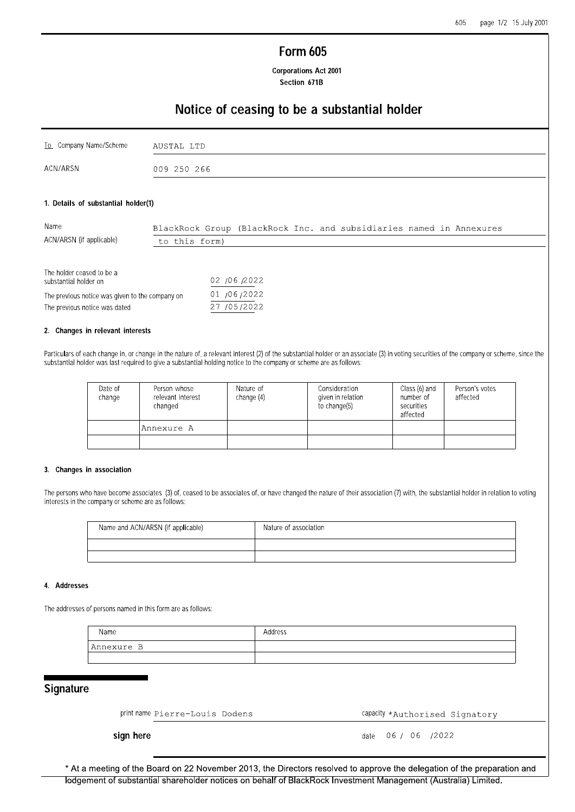# **Form 605**

**Corporations Act 2001** Section 671B

# Notice of ceasing to be a substantial holder

| To Company Name/Scheme | AUSTAL LTD  |
|------------------------|-------------|
| ACN/ARSN               | 009 250 266 |

#### 1. Details of substantial holder(1)

| Name                      | BlackRock Group (BlackRock Inc. and subsidiaries named in Annexures |  |  |  |
|---------------------------|---------------------------------------------------------------------|--|--|--|
| ACN/ARSN (if applicable)  | to this form)                                                       |  |  |  |
|                           |                                                                     |  |  |  |
| The holder ceased to be a |                                                                     |  |  |  |
| substantial holder on     | 02 /06 /2022                                                        |  |  |  |

| supstantial holder on                           | VA IVVIAVAA |
|-------------------------------------------------|-------------|
| The previous notice was given to the company on | 01/06/2022  |
| The previous notice was dated                   | 27 /05/2022 |

#### 2. Changes in relevant interests

Particulars of each change in, or change in the nature of, a relevant interest (2) of the substantial holder or an associate (3) in voting securities of the company or scheme, since the substantial holder was last required to give a substantial holding notice to the company or scheme are as follows:

| Date of<br>change | Person whose<br>relevant interest<br>changed | Nature of<br>change $(4)$ | Consideration<br>given in relation<br>to change(5) | Class (6) and<br>number of<br>securities<br>affected | Person's votes<br>affected |
|-------------------|----------------------------------------------|---------------------------|----------------------------------------------------|------------------------------------------------------|----------------------------|
|                   | Annexure A                                   |                           |                                                    |                                                      |                            |
|                   |                                              |                           |                                                    |                                                      |                            |

#### 3. Changes in association

The persons who have become associates (3) of, ceased to be associates of, or have changed the nature of their association (7) with, the substantial holder in relation to voting interests in the company or scheme are as follows:

| Name and ACN/ARSN (if applicable) | Nature of association |
|-----------------------------------|-----------------------|
|                                   |                       |
|                                   |                       |

#### 4. Addresses

The addresses of persons named in this form are as follows:

| Name        | Address |
|-------------|---------|
| 'Annexure B |         |
|             |         |

## Signature

print name Pierre-Louis Dodens

capacity \*Authorised Signatory

sign here

06 / 06 / 2022 date

\* At a meeting of the Board on 22 November 2013, the Directors resolved to approve the delegation of the preparation and lodgement of substantial shareholder notices on behalf of BlackRock Investment Management (Australia) Limited.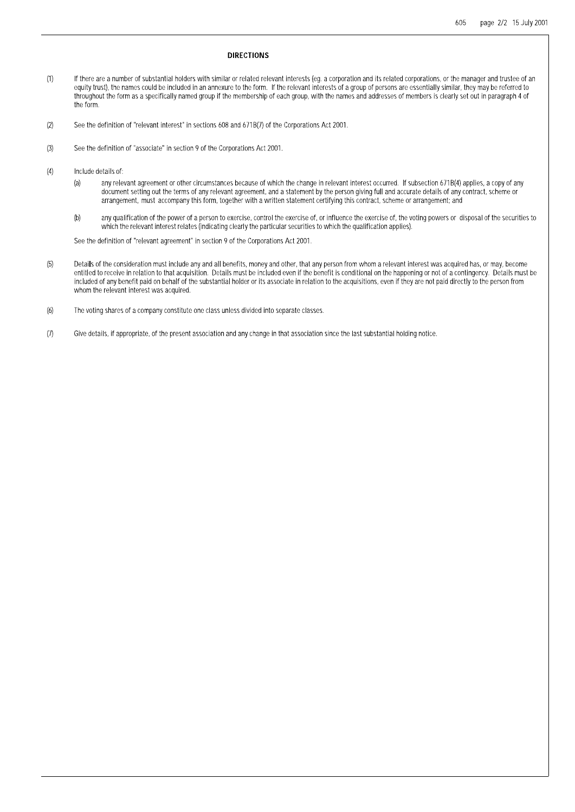#### **DIRECTIONS**

- $(1)$ If there are a number of substantial holders with similar or related relevant interests (eq. a corporation and its related corporations, or the manager and trustee of an equity trust), the names could be included in an annexure to the form. If the relevant interests of a group of persons are essentially similar, they may be referred to throughout the form as a specifically named group if the membership of each group, with the names and addresses of members is clearly set out in paragraph 4 of the form.
- See the definition of "relevant interest" in sections 608 and 671B(7) of the Corporations Act 2001.  $(2)$
- See the definition of "associate" in section 9 of the Corporations Act 2001.  $(3)$
- $(4)$ Include details of:
	- any relevant agreement or other circumstances because of which the change in relevant interest occurred. If subsection 671B(4) applies, a copy of any  $(a)$ document setting out the terms of any relevant agreement, and a statement by the person giving full and accurate details of any contract, scheme or arrangement, must accompany this form, together with a written statement certifying this contract, scheme or arrangement; and
	- any qualification of the power of a person to exercise, control the exercise of, or influence the exercise of, the voting powers or disposal of the securities to  $(b)$ which the relevant interest relates (indicating clearly the particular securities to which the qualification applies).

See the definition of "relevant agreement" in section 9 of the Corporations Act 2001.

- Details of the consideration must include any and all benefits, money and other, that any person from whom a relevant interest was acquired has, or may, become<br>entitled to receive in relation to that acquisition. Details m  $(5)$ included of any benefit paid on behalf of the substantial holder or its associate in relation to the acquisitions, even if they are not paid directly to the person from whom the relevant interest was acquired.
- $(6)$ The voting shares of a company constitute one class unless divided into separate classes.
- $(7)$ Give details, if appropriate, of the present association and any change in that association since the last substantial holding notice.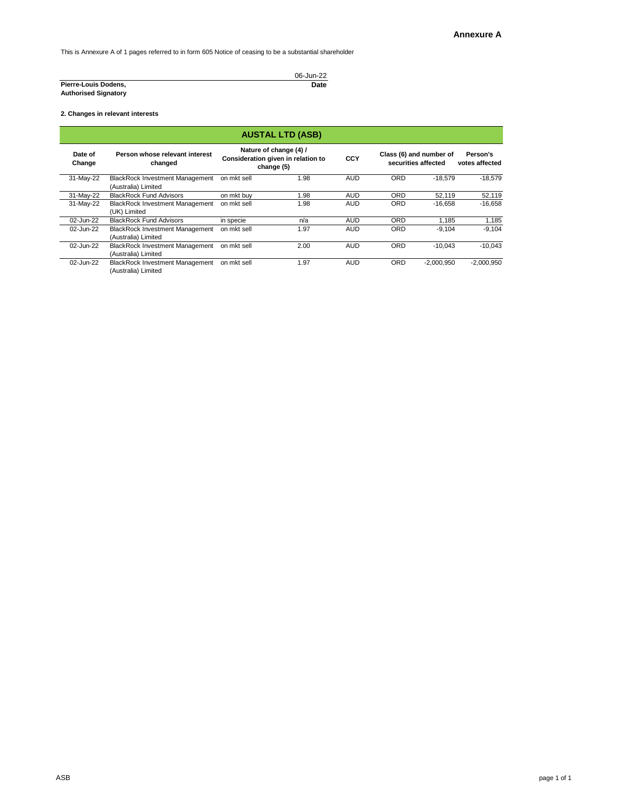This is Annexure A of 1 pages referred to in form 605 Notice of ceasing to be a substantial shareholder

**2. Changes in relevant interests**

|                             | 06-Jun-22 |
|-----------------------------|-----------|
| Pierre-Louis Dodens,        | Date      |
| <b>Authorised Signatory</b> |           |

|                   | <b>AUSTAL LTD (ASB)</b>                                       |             |                                                                            |            |            |                                                |                            |
|-------------------|---------------------------------------------------------------|-------------|----------------------------------------------------------------------------|------------|------------|------------------------------------------------|----------------------------|
| Date of<br>Change | Person whose relevant interest<br>changed                     |             | Nature of change (4) /<br>Consideration given in relation to<br>change (5) | <b>CCY</b> |            | Class (6) and number of<br>securities affected | Person's<br>votes affected |
| 31-May-22         | <b>BlackRock Investment Management</b><br>(Australia) Limited | on mkt sell | 1.98                                                                       | <b>AUD</b> | <b>ORD</b> | $-18.579$                                      | $-18,579$                  |
| 31-May-22         | <b>BlackRock Fund Advisors</b>                                | on mkt buy  | 1.98                                                                       | <b>AUD</b> | <b>ORD</b> | 52,119                                         | 52,119                     |
| 31-May-22         | <b>BlackRock Investment Management</b><br>(UK) Limited        | on mkt sell | 1.98                                                                       | <b>AUD</b> | <b>ORD</b> | $-16,658$                                      | $-16,658$                  |
| 02-Jun-22         | <b>BlackRock Fund Advisors</b>                                | in specie   | n/a                                                                        | <b>AUD</b> | <b>ORD</b> | 1,185                                          | 1,185                      |
| 02-Jun-22         | <b>BlackRock Investment Management</b><br>(Australia) Limited | on mkt sell | 1.97                                                                       | <b>AUD</b> | <b>ORD</b> | $-9,104$                                       | $-9,104$                   |
| 02-Jun-22         | <b>BlackRock Investment Management</b><br>(Australia) Limited | on mkt sell | 2.00                                                                       | <b>AUD</b> | <b>ORD</b> | $-10.043$                                      | $-10,043$                  |
| 02-Jun-22         | <b>BlackRock Investment Management</b><br>(Australia) Limited | on mkt sell | 1.97                                                                       | <b>AUD</b> | <b>ORD</b> | $-2,000,950$                                   | $-2,000,950$               |

ASB page 1 of 1